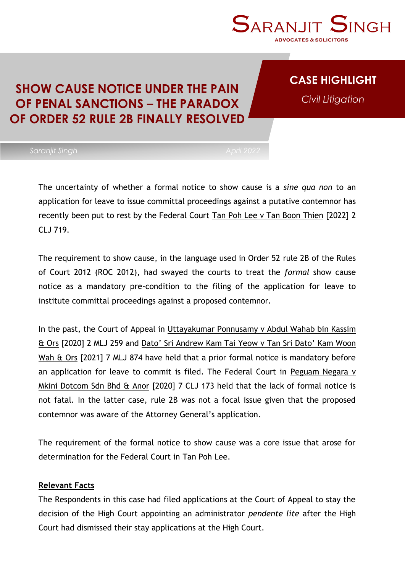

### **CASE HIGHLIGHT**

*Civil Litigation*

### **SHOW CAUSE NOTICE UNDER THE PAIN OF PENAL SANCTIONS – THE PARADOX OF ORDER 52 RULE 2B FINALLY RESOLVED**

The uncertainty of whether a formal notice to show cause is a *sine qua non* to an application for leave to issue committal proceedings against a putative contemnor has recently been put to rest by the Federal Court Tan Poh Lee v Tan Boon Thien [2022] 2 CLJ 719.

The requirement to show cause, in the language used in Order 52 rule 2B of the Rules of Court 2012 (ROC 2012), had swayed the courts to treat the *formal* show cause notice as a mandatory pre-condition to the filing of the application for leave to institute committal proceedings against a proposed contemnor.

In the past, the Court of Appeal in Uttayakumar Ponnusamy v Abdul Wahab bin Kassim & Ors [2020] 2 MLJ 259 and Dato' Sri Andrew Kam Tai Yeow v Tan Sri Dato' Kam Woon Wah & Ors [2021] 7 MLJ 874 have held that a prior formal notice is mandatory before an application for leave to commit is filed. The Federal Court in Peguam Negara v Mkini Dotcom Sdn Bhd & Anor [2020] 7 CLJ 173 held that the lack of formal notice is not fatal. In the latter case, rule 2B was not a focal issue given that the proposed contemnor was aware of the Attorney General's application.

The requirement of the formal notice to show cause was a core issue that arose for determination for the Federal Court in Tan Poh Lee.

#### **Relevant Facts**

The Respondents in this case had filed applications at the Court of Appeal to stay the decision of the High Court appointing an administrator *pendente lite* after the High Court had dismissed their stay applications at the High Court.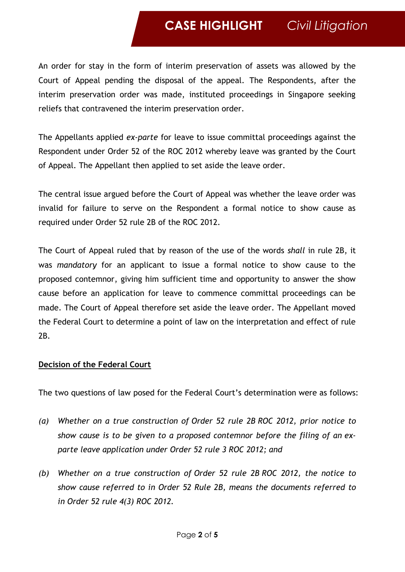## **CASE HIGHLIGHT** *Civil Litigation*

An order for stay in the form of interim preservation of assets was allowed by the Court of Appeal pending the disposal of the appeal. The Respondents, after the interim preservation order was made, instituted proceedings in Singapore seeking reliefs that contravened the interim preservation order.

The Appellants applied *ex-parte* for leave to issue committal proceedings against the Respondent under Order 52 of the ROC 2012 whereby leave was granted by the Court of Appeal. The Appellant then applied to set aside the leave order.

The central issue argued before the Court of Appeal was whether the leave order was invalid for failure to serve on the Respondent a formal notice to show cause as required under Order 52 rule 2B of the ROC 2012.

The Court of Appeal ruled that by reason of the use of the words *shall* in rule 2B, it was *mandatory* for an applicant to issue a formal notice to show cause to the proposed contemnor, giving him sufficient time and opportunity to answer the show cause before an application for leave to commence committal proceedings can be made. The Court of Appeal therefore set aside the leave order. The Appellant moved the Federal Court to determine a point of law on the interpretation and effect of rule 2B.

#### **Decision of the Federal Court**

The two questions of law posed for the Federal Court's determination were as follows:

- *(a) Whether on a true construction of [Order](https://advance.lexis.com/document/onecase/?pdmfid=1522468&crid=45ed5410-9780-47a3-8930-09cfd305ef61&pddocfullpath=%2Fshared%2Fdocument%2Fcases-my%2Furn%3AcontentItem%3A64N5-R991-JB7K-23M0-00000-00&pdcontentcomponentid=235221&pdteaserkey=cr1&pditab=allpods&ecomp=sdJsk&earg=cr1&prid=da48a2cc-e654-4cf6-a29a-25644ea53a81) 52 rule 2B ROC 2012, prior notice to show cause is to be given to a proposed contemnor before the filing of an exparte leave application under [Order](https://advance.lexis.com/document/onecase/?pdmfid=1522468&crid=45ed5410-9780-47a3-8930-09cfd305ef61&pddocfullpath=%2Fshared%2Fdocument%2Fcases-my%2Furn%3AcontentItem%3A64N5-R991-JB7K-23M0-00000-00&pdcontentcomponentid=235221&pdteaserkey=cr1&pditab=allpods&ecomp=sdJsk&earg=cr1&prid=da48a2cc-e654-4cf6-a29a-25644ea53a81) 52 rule 3 ROC 2012; and*
- *(b) Whether on a true construction of [Order](https://advance.lexis.com/document/onecase/?pdmfid=1522468&crid=45ed5410-9780-47a3-8930-09cfd305ef61&pddocfullpath=%2Fshared%2Fdocument%2Fcases-my%2Furn%3AcontentItem%3A64N5-R991-JB7K-23M0-00000-00&pdcontentcomponentid=235221&pdteaserkey=cr1&pditab=allpods&ecomp=sdJsk&earg=cr1&prid=da48a2cc-e654-4cf6-a29a-25644ea53a81) 52 rule 2B ROC 2012, the notice to show cause referred to in Order 52 Rule 2B, means the documents referred to in [Order](https://advance.lexis.com/document/onecase/?pdmfid=1522468&crid=45ed5410-9780-47a3-8930-09cfd305ef61&pddocfullpath=%2Fshared%2Fdocument%2Fcases-my%2Furn%3AcontentItem%3A64N5-R991-JB7K-23M0-00000-00&pdcontentcomponentid=235221&pdteaserkey=cr1&pditab=allpods&ecomp=sdJsk&earg=cr1&prid=da48a2cc-e654-4cf6-a29a-25644ea53a81) 52 rule 4(3) ROC 2012.*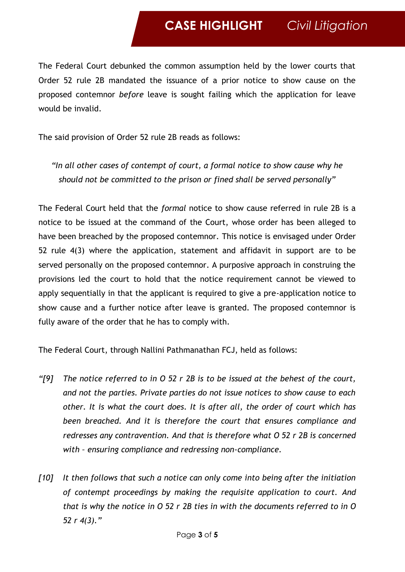The Federal Court debunked the common assumption held by the lower courts that Order 52 rule 2B mandated the issuance of a prior notice to show cause on the proposed contemnor *before* leave is sought failing which the application for leave would be invalid.

The said provision of Order 52 rule 2B reads as follows:

*"In all other cases of contempt of court, a formal notice to show cause why he should not be committed to the prison or fined shall be served personally"*

The Federal Court held that the *formal* notice to show cause referred in rule 2B is a notice to be issued at the command of the Court, whose order has been alleged to have been breached by the proposed contemnor. This notice is envisaged under Order 52 rule 4(3) where the application, statement and affidavit in support are to be served personally on the proposed contemnor. A purposive approach in construing the provisions led the court to hold that the notice requirement cannot be viewed to apply sequentially in that the applicant is required to give a pre-application notice to show cause and a further notice after leave is granted. The proposed contemnor is fully aware of the order that he has to comply with.

The Federal Court, through Nallini Pathmanathan FCJ, held as follows:

- *"[9] The notice referred to in O 52 r 2B is to be issued at the behest of the court, and not the parties. Private parties do not issue notices to show cause to each other. It is what the court does. It is after all, the order of court which has been breached. And it is therefore the court that ensures compliance and redresses any contravention. And that is therefore what O 52 r 2B is concerned with – ensuring compliance and redressing non-compliance.*
- *[10] It then follows that such a notice can only come into being after the initiation of contempt proceedings by making the requisite application to court. And that is why the notice in O 52 r 2B ties in with the documents referred to in O 52 r 4(3)."*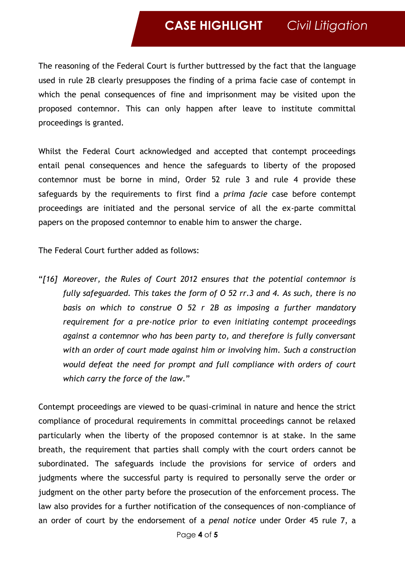### **CASE HIGHLIGHT** *Civil Litigation*

The reasoning of the Federal Court is further buttressed by the fact that the language used in rule 2B clearly presupposes the finding of a prima facie case of contempt in which the penal consequences of fine and imprisonment may be visited upon the proposed contemnor. This can only happen after leave to institute committal proceedings is granted.

Whilst the Federal Court acknowledged and accepted that contempt proceedings entail penal consequences and hence the safeguards to liberty of the proposed contemnor must be borne in mind, Order 52 rule 3 and rule 4 provide these safeguards by the requirements to first find a *prima facie* case before contempt proceedings are initiated and the personal service of all the ex-parte committal papers on the proposed contemnor to enable him to answer the charge.

The Federal Court further added as follows:

"*[16] Moreover, the Rules of Court 2012 ensures that the potential contemnor is fully safeguarded. This takes the form of O 52 rr.3 and 4. As such, there is no basis on which to construe O 52 r 2B as imposing a further mandatory requirement for a pre-notice prior to even initiating contempt proceedings against a contemnor who has been party to, and therefore is fully conversant with an order of court made against him or involving him. Such a construction would defeat the need for prompt and full compliance with orders of court which carry the force of the law.*"

Contempt proceedings are viewed to be quasi-criminal in nature and hence the strict compliance of procedural requirements in committal proceedings cannot be relaxed particularly when the liberty of the proposed contemnor is at stake. In the same breath, the requirement that parties shall comply with the court orders cannot be subordinated. The safeguards include the provisions for service of orders and judgments where the successful party is required to personally serve the order or judgment on the other party before the prosecution of the enforcement process. The law also provides for a further notification of the consequences of non-compliance of an order of court by the endorsement of a *penal notice* under Order 45 rule 7, a